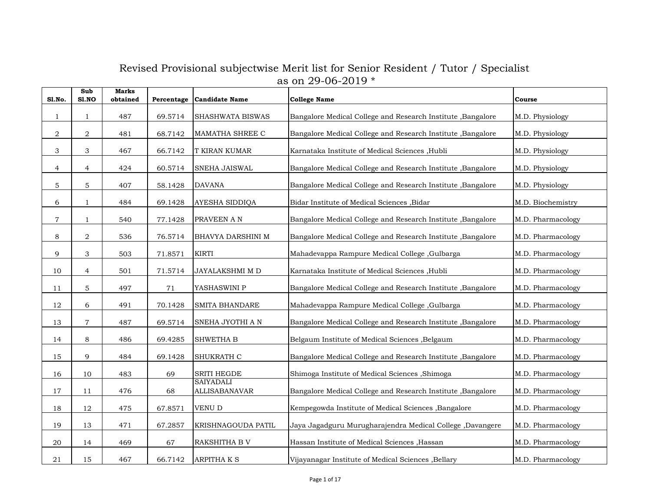| <b>S1.No.</b>  | Sub<br><b>S1.NO</b> | <b>Marks</b><br>obtained |         | Percentage Candidate Name         | <b>College Name</b>                                          | Course            |
|----------------|---------------------|--------------------------|---------|-----------------------------------|--------------------------------------------------------------|-------------------|
| 1              | 1                   | 487                      | 69.5714 | SHASHWATA BISWAS                  | Bangalore Medical College and Research Institute , Bangalore | M.D. Physiology   |
| 2              | $\overline{a}$      | 481                      | 68.7142 | MAMATHA SHREE C                   | Bangalore Medical College and Research Institute, Bangalore  | M.D. Physiology   |
| 3              | 3                   | 467                      | 66.7142 | <b>T KIRAN KUMAR</b>              | Karnataka Institute of Medical Sciences ,Hubli               | M.D. Physiology   |
| $\overline{4}$ | $\overline{4}$      | 424                      | 60.5714 | SNEHA JAISWAL                     | Bangalore Medical College and Research Institute , Bangalore | M.D. Physiology   |
| $\mathbf 5$    | $\mathbf 5$         | 407                      | 58.1428 | <b>DAVANA</b>                     | Bangalore Medical College and Research Institute, Bangalore  | M.D. Physiology   |
| 6              | $\mathbf{1}$        | 484                      | 69.1428 | AYESHA SIDDIQA                    | Bidar Institute of Medical Sciences , Bidar                  | M.D. Biochemistry |
| $\overline{7}$ | $\mathbf{1}$        | 540                      | 77.1428 | PRAVEEN A N                       | Bangalore Medical College and Research Institute , Bangalore | M.D. Pharmacology |
| 8              | $\boldsymbol{2}$    | 536                      | 76.5714 | BHAVYA DARSHINI M                 | Bangalore Medical College and Research Institute, Bangalore  | M.D. Pharmacology |
| 9              | 3                   | 503                      | 71.8571 | <b>KIRTI</b>                      | Mahadevappa Rampure Medical College, Gulbarga                | M.D. Pharmacology |
| 10             | $\overline{4}$      | 501                      | 71.5714 | JAYALAKSHMI M D                   | Karnataka Institute of Medical Sciences , Hubli              | M.D. Pharmacology |
| 11             | 5                   | 497                      | 71      | YASHASWINI P                      | Bangalore Medical College and Research Institute, Bangalore  | M.D. Pharmacology |
| 12             | $6\,$               | 491                      | 70.1428 | <b>SMITA BHANDARE</b>             | Mahadevappa Rampure Medical College, Gulbarga                | M.D. Pharmacology |
| 13             | $\overline{7}$      | 487                      | 69.5714 | SNEHA JYOTHI A N                  | Bangalore Medical College and Research Institute, Bangalore  | M.D. Pharmacology |
| 14             | 8                   | 486                      | 69.4285 | <b>SHWETHA B</b>                  | Belgaum Institute of Medical Sciences , Belgaum              | M.D. Pharmacology |
| 15             | 9                   | 484                      | 69.1428 | SHUKRATH C                        | Bangalore Medical College and Research Institute, Bangalore  | M.D. Pharmacology |
| 16             | 10                  | 483                      | 69      | <b>SRITI HEGDE</b>                | Shimoga Institute of Medical Sciences , Shimoga              | M.D. Pharmacology |
| 17             | 11                  | 476                      | 68      | <b>SAIYADALI</b><br>ALLISABANAVAR | Bangalore Medical College and Research Institute, Bangalore  | M.D. Pharmacology |
| 18             | 12                  | 475                      | 67.8571 | VENU D                            | Kempegowda Institute of Medical Sciences , Bangalore         | M.D. Pharmacology |
| 19             | 13                  | 471                      | 67.2857 | KRISHNAGOUDA PATIL                | Jaya Jagadguru Murugharajendra Medical College ,Davangere    | M.D. Pharmacology |
| 20             | 14                  | 469                      | 67      | RAKSHITHA B V                     | Hassan Institute of Medical Sciences , Hassan                | M.D. Pharmacology |
| 21             | 15                  | 467                      | 66.7142 | <b>ARPITHA K S</b>                | Vijayanagar Institute of Medical Sciences , Bellary          | M.D. Pharmacology |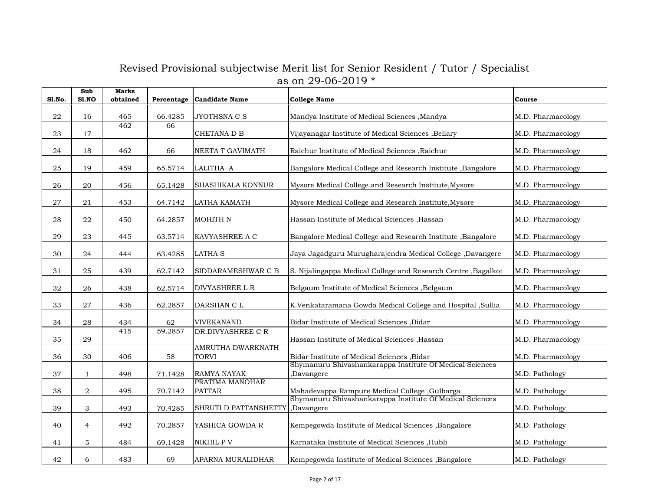| <b>S1.No.</b> | Sub<br>S1.NO   | <b>Marks</b><br>obtained | Percentage | <b>Candidate Name</b>             | <b>College Name</b>                                                    | Course            |
|---------------|----------------|--------------------------|------------|-----------------------------------|------------------------------------------------------------------------|-------------------|
| 22            | 16             | 465                      | 66.4285    | JYOTHSNA C S                      | Mandya Institute of Medical Sciences , Mandya                          | M.D. Pharmacology |
| 23            | 17             | 462                      | 66         | CHETANA D B                       | Vijayanagar Institute of Medical Sciences , Bellary                    | M.D. Pharmacology |
| 24            | 18             | 462                      | 66         | NEETA T GAVIMATH                  | Raichur Institute of Medical Sciences , Raichur                        | M.D. Pharmacology |
| 25            | 19             | 459                      | 65.5714    | LALITHA A                         | Bangalore Medical College and Research Institute, Bangalore            | M.D. Pharmacology |
| 26            | 20             | 456                      | 65.1428    | SHASHIKALA KONNUR                 | Mysore Medical College and Research Institute, Mysore                  | M.D. Pharmacology |
| 27            | 21             | 453                      | 64.7142    | LATHA KAMATH                      | Mysore Medical College and Research Institute, Mysore                  | M.D. Pharmacology |
| 28            | 22             | 450                      | 64.2857    | <b>MOHITH N</b>                   | Hassan Institute of Medical Sciences , Hassan                          | M.D. Pharmacology |
| 29            | 23             | 445                      | 63.5714    | KAVYASHREE A C                    | Bangalore Medical College and Research Institute, Bangalore            | M.D. Pharmacology |
| 30            | 24             | 444                      | 63.4285    | <b>LATHA S</b>                    | Jaya Jagadguru Murugharajendra Medical College, Davangere              | M.D. Pharmacology |
| 31            | 25             | 439                      | 62.7142    | SIDDARAMESHWAR C B                | S. Nijalingappa Medical College and Research Centre , Bagalkot         | M.D. Pharmacology |
| 32            | 26             | 438                      | 62.5714    | DIVYASHREE L R                    | Belgaum Institute of Medical Sciences , Belgaum                        | M.D. Pharmacology |
| 33            | 27             | 436                      | 62.2857    | DARSHAN C L                       | K.Venkataramana Gowda Medical College and Hospital ,Sullia             | M.D. Pharmacology |
| 34            | 28             | 434                      | 62         | <b>VIVEKANAND</b>                 | Bidar Institute of Medical Sciences , Bidar                            | M.D. Pharmacology |
| 35            | 29             | 415                      | 59.2857    | DR.DIVYASHREE C R                 | Hassan Institute of Medical Sciences , Hassan                          | M.D. Pharmacology |
| 36            | 30             | 406                      | 58         | <b>AMRUTHA DWARKNATH</b><br>TORVI | Bidar Institute of Medical Sciences , Bidar                            | M.D. Pharmacology |
| 37            | 1              | 498                      | 71.1428    | RAMYA NAYAK                       | Shymanuru Shivashankarappa Institute Of Medical Sciences<br>,Davangere | M.D. Pathology    |
| 38            | $\overline{a}$ | 495                      | 70.7142    | PRATIMA MANOHAR<br><b>PATTAR</b>  | Mahadevappa Rampure Medical College , Gulbarga                         | M.D. Pathology    |
| 39            | 3              | 493                      | 70.4285    | SHRUTI D PATTANSHETTY             | Shymanuru Shivashankarappa Institute Of Medical Sciences<br>,Davangere | M.D. Pathology    |
| 40            | $\overline{4}$ | 492                      | 70.2857    | YASHICA GOWDA R                   | Kempegowda Institute of Medical Sciences , Bangalore                   | M.D. Pathology    |
| 41            | 5              | 484                      | 69.1428    | NIKHIL P V                        | Karnataka Institute of Medical Sciences ,Hubli                         | M.D. Pathology    |
| 42            | 6              | 483                      | 69         | APARNA MURALIDHAR                 | Kempegowda Institute of Medical Sciences, Bangalore                    | M.D. Pathology    |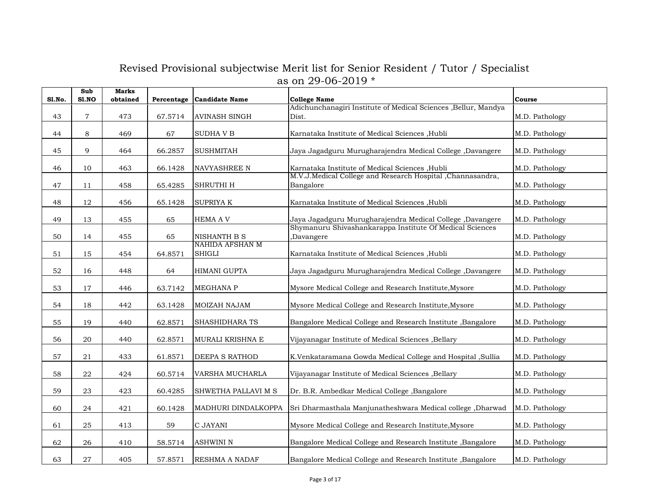| Sl.No. | Sub<br>S1.NO   | <b>Marks</b><br>obtained | Percentage | <b>Candidate Name</b>                   | <b>College Name</b>                                                      | Course         |
|--------|----------------|--------------------------|------------|-----------------------------------------|--------------------------------------------------------------------------|----------------|
|        |                |                          |            |                                         | Adichunchanagiri Institute of Medical Sciences , Bellur, Mandya          |                |
| 43     | $\overline{7}$ | 473                      | 67.5714    | AVINASH SINGH                           | Dist.                                                                    | M.D. Pathology |
| 44     | $\,8\,$        | 469                      | 67         | <b>SUDHAVB</b>                          | Karnataka Institute of Medical Sciences , Hubli                          | M.D. Pathology |
| 45     | 9              | 464                      | 66.2857    | <b>SUSHMITAH</b>                        | Jaya Jagadguru Murugharajendra Medical College ,Davangere                | M.D. Pathology |
| 46     | 10             | 463                      | 66.1428    | NAVYASHREE N                            | Karnataka Institute of Medical Sciences , Hubli                          | M.D. Pathology |
| 47     | 11             | 458                      | 65.4285    | SHRUTHI H                               | M.V.J.Medical College and Research Hospital , Channasandra,<br>Bangalore | M.D. Pathology |
| 48     | 12             | 456                      | 65.1428    | SUPRIYA K                               | Karnataka Institute of Medical Sciences , Hubli                          | M.D. Pathology |
| 49     | 13             | 455                      | 65         | <b>HEMA A V</b>                         | Jaya Jagadguru Murugharajendra Medical College ,Davangere                | M.D. Pathology |
| 50     | 14             | 455                      | 65         | <b>NISHANTH B S</b>                     | Shymanuru Shivashankarappa Institute Of Medical Sciences<br>Davangere,   | M.D. Pathology |
| 51     | 15             | 454                      | 64.8571    | <b>NAHIDA AFSHAN M</b><br><b>SHIGLI</b> | Karnataka Institute of Medical Sciences ,Hubli                           | M.D. Pathology |
| 52     | 16             | 448                      | 64         | <b>HIMANI GUPTA</b>                     | Jaya Jagadguru Murugharajendra Medical College ,Davangere                | M.D. Pathology |
| 53     | 17             | 446                      | 63.7142    | <b>MEGHANA P</b>                        | Mysore Medical College and Research Institute, Mysore                    | M.D. Pathology |
| 54     | 18             | 442                      | 63.1428    | MOIZAH NAJAM                            | Mysore Medical College and Research Institute, Mysore                    | M.D. Pathology |
| 55     | 19             | 440                      | 62.8571    | SHASHIDHARA TS                          | Bangalore Medical College and Research Institute , Bangalore             | M.D. Pathology |
| 56     | 20             | 440                      | 62.8571    | MURALI KRISHNA E                        | Vijayanagar Institute of Medical Sciences , Bellary                      | M.D. Pathology |
| 57     | 21             | 433                      | 61.8571    | DEEPA S RATHOD                          | K.Venkataramana Gowda Medical College and Hospital ,Sullia               | M.D. Pathology |
| 58     | 22             | 424                      | 60.5714    | VARSHA MUCHARLA                         | Vijayanagar Institute of Medical Sciences , Bellary                      | M.D. Pathology |
| 59     | 23             | 423                      | 60.4285    | SHWETHA PALLAVI M S                     | Dr. B.R. Ambedkar Medical College , Bangalore                            | M.D. Pathology |
| 60     | 24             | 421                      | 60.1428    | MADHURI DINDALKOPPA                     | Sri Dharmasthala Manjunatheshwara Medical college, Dharwad               | M.D. Pathology |
| 61     | 25             | 413                      | 59         | C JAYANI                                | Mysore Medical College and Research Institute, Mysore                    | M.D. Pathology |
| 62     | 26             | 410                      | 58.5714    | <b>ASHWINI N</b>                        | Bangalore Medical College and Research Institute, Bangalore              | M.D. Pathology |
| 63     | 27             | 405                      | 57.8571    | RESHMA A NADAF                          | Bangalore Medical College and Research Institute, Bangalore              | M.D. Pathology |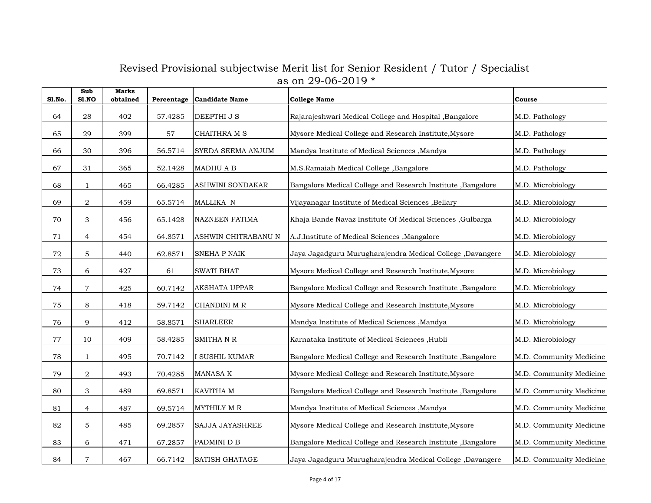| <b>S1.No.</b> | Sub<br>S1.NO   | <b>Marks</b><br>obtained | Percentage | <b>Candidate Name</b> | <b>College Name</b>                                          | Course                  |
|---------------|----------------|--------------------------|------------|-----------------------|--------------------------------------------------------------|-------------------------|
| 64            | ${\bf 28}$     | 402                      | 57.4285    | DEEPTHI J S           | Rajarajeshwari Medical College and Hospital , Bangalore      | M.D. Pathology          |
| 65            | 29             | 399                      | 57         | CHAITHRA M S          | Mysore Medical College and Research Institute, Mysore        | M.D. Pathology          |
| 66            | 30             | 396                      | 56.5714    | SYEDA SEEMA ANJUM     | Mandya Institute of Medical Sciences , Mandya                | M.D. Pathology          |
| 67            | 31             | 365                      | 52.1428    | MADHU A B             | M.S.Ramaiah Medical College ,Bangalore                       | M.D. Pathology          |
| 68            | $\mathbf{1}$   | 465                      | 66.4285    | ASHWINI SONDAKAR      | Bangalore Medical College and Research Institute, Bangalore  | M.D. Microbiology       |
| 69            | $\,2$          | 459                      | 65.5714    | MALLIKA N             | Vijayanagar Institute of Medical Sciences , Bellary          | M.D. Microbiology       |
| 70            | 3              | 456                      | 65.1428    | NAZNEEN FATIMA        | Khaja Bande Navaz Institute Of Medical Sciences , Gulbarga   | M.D. Microbiology       |
| 71            | $\overline{4}$ | 454                      | 64.8571    | ASHWIN CHITRABANU N   | A.J.Institute of Medical Sciences , Mangalore                | M.D. Microbiology       |
| 72            | $\mathbf 5$    | 440                      | 62.8571    | SNEHA P NAIK          | Jaya Jagadguru Murugharajendra Medical College, Davangere    | M.D. Microbiology       |
| 73            | $\,$ 6 $\,$    | 427                      | 61         | <b>SWATI BHAT</b>     | Mysore Medical College and Research Institute, Mysore        | M.D. Microbiology       |
| 74            | $\overline{7}$ | 425                      | 60.7142    | <b>AKSHATA UPPAR</b>  | Bangalore Medical College and Research Institute , Bangalore | M.D. Microbiology       |
| 75            | 8              | 418                      | 59.7142    | CHANDINI M R          | Mysore Medical College and Research Institute, Mysore        | M.D. Microbiology       |
| 76            | 9              | 412                      | 58.8571    | <b>SHARLEER</b>       | Mandya Institute of Medical Sciences , Mandya                | M.D. Microbiology       |
| 77            | 10             | 409                      | 58.4285    | SMITHA N R            | Karnataka Institute of Medical Sciences ,Hubli               | M.D. Microbiology       |
| 78            | $\mathbf{1}$   | 495                      | 70.7142    | I SUSHIL KUMAR        | Bangalore Medical College and Research Institute, Bangalore  | M.D. Community Medicine |
| 79            | $\,2$          | 493                      | 70.4285    | MANASA K              | Mysore Medical College and Research Institute, Mysore        | M.D. Community Medicine |
| 80            | 3              | 489                      | 69.8571    | KAVITHA M             | Bangalore Medical College and Research Institute , Bangalore | M.D. Community Medicine |
| 81            | $\overline{4}$ | 487                      | 69.5714    | MYTHILY M R           | Mandya Institute of Medical Sciences , Mandya                | M.D. Community Medicine |
| 82            | $\mathbf 5$    | 485                      | 69.2857    | SAJJA JAYASHREE       | Mysore Medical College and Research Institute, Mysore        | M.D. Community Medicine |
| 83            | $\,$ 6 $\,$    | 471                      | 67.2857    | PADMINI D B           | Bangalore Medical College and Research Institute , Bangalore | M.D. Community Medicine |
| 84            | $\overline{7}$ | 467                      | 66.7142    | <b>SATISH GHATAGE</b> | Jaya Jagadguru Murugharajendra Medical College, Davangere    | M.D. Community Medicine |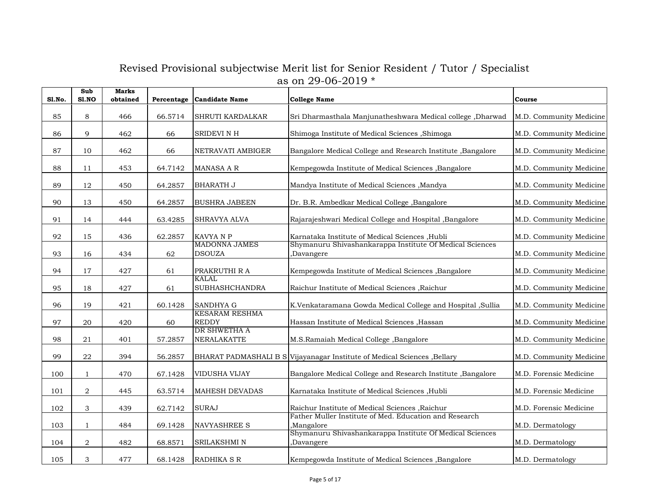| Sl.No. | Sub<br>S1.NO   | <b>Marks</b><br>obtained | Percentage | <b>Candidate Name</b>                 | <b>College Name</b>                                                      | Course                  |
|--------|----------------|--------------------------|------------|---------------------------------------|--------------------------------------------------------------------------|-------------------------|
| 85     | 8              | 466                      | 66.5714    | SHRUTI KARDALKAR                      | Sri Dharmasthala Manjunatheshwara Medical college, Dharwad               | M.D. Community Medicine |
| 86     | 9              | 462                      | 66         | SRIDEVI N H                           | Shimoga Institute of Medical Sciences , Shimoga                          | M.D. Community Medicine |
| 87     | 10             | 462                      | 66         | NETRAVATI AMBIGER                     | Bangalore Medical College and Research Institute, Bangalore              | M.D. Community Medicine |
| 88     | 11             | 453                      | 64.7142    | <b>MANASA A R</b>                     | Kempegowda Institute of Medical Sciences , Bangalore                     | M.D. Community Medicine |
| 89     | 12             | 450                      | 64.2857    | BHARATH J                             | Mandya Institute of Medical Sciences , Mandya                            | M.D. Community Medicine |
| 90     | 13             | 450                      | 64.2857    | <b>BUSHRA JABEEN</b>                  | Dr. B.R. Ambedkar Medical College, Bangalore                             | M.D. Community Medicine |
| 91     | 14             | 444                      | 63.4285    | <b>SHRAVYA ALVA</b>                   | Rajarajeshwari Medical College and Hospital , Bangalore                  | M.D. Community Medicine |
| 92     | 15             | 436                      | 62.2857    | KAVYA N P                             | Karnataka Institute of Medical Sciences , Hubli                          | M.D. Community Medicine |
| 93     | 16             | 434                      | 62         | <b>MADONNA JAMES</b><br><b>DSOUZA</b> | Shymanuru Shivashankarappa Institute Of Medical Sciences<br>Davangere    | M.D. Community Medicine |
| 94     | 17             | 427                      | 61         | PRAKRUTHI R A                         | Kempegowda Institute of Medical Sciences , Bangalore                     | M.D. Community Medicine |
| 95     | 18             | 427                      | 61         | <b>KALAL</b><br><b>SUBHASHCHANDRA</b> | Raichur Institute of Medical Sciences , Raichur                          | M.D. Community Medicine |
| 96     | 19             | 421                      | 60.1428    | <b>SANDHYA G</b>                      | K.Venkataramana Gowda Medical College and Hospital , Sullia              | M.D. Community Medicine |
| 97     | 20             | 420                      | 60         | <b>KESARAM RESHMA</b><br><b>REDDY</b> | Hassan Institute of Medical Sciences , Hassan                            | M.D. Community Medicine |
| 98     | 21             | 401                      | 57.2857    | DR SHWETHA A<br>NERALAKATTE           | M.S.Ramaiah Medical College, Bangalore                                   | M.D. Community Medicine |
| 99     | 22             | 394                      | 56.2857    |                                       | BHARAT PADMASHALI B S Vijayanagar Institute of Medical Sciences, Bellary | M.D. Community Medicine |
| 100    | $\mathbf{1}$   | 470                      | 67.1428    | VIDUSHA VIJAY                         | Bangalore Medical College and Research Institute , Bangalore             | M.D. Forensic Medicine  |
| 101    | 2              | 445                      | 63.5714    | MAHESH DEVADAS                        | Karnataka Institute of Medical Sciences , Hubli                          | M.D. Forensic Medicine  |
| 102    | 3              | 439                      | 62.7142    | <b>SURAJ</b>                          | Raichur Institute of Medical Sciences , Raichur                          | M.D. Forensic Medicine  |
| 103    | $\mathbf{1}$   | 484                      | 69.1428    | <b>NAVYASHREE S</b>                   | Father Muller Institute of Med. Education and Research<br>Mangalore,     | M.D. Dermatology        |
| 104    | $\overline{2}$ | 482                      | 68.8571    | SRILAKSHMI N                          | Shymanuru Shivashankarappa Institute Of Medical Sciences<br>Davangere,   | M.D. Dermatology        |
| 105    | 3              | 477                      | 68.1428    | <b>RADHIKA S R</b>                    | Kempegowda Institute of Medical Sciences , Bangalore                     | M.D. Dermatology        |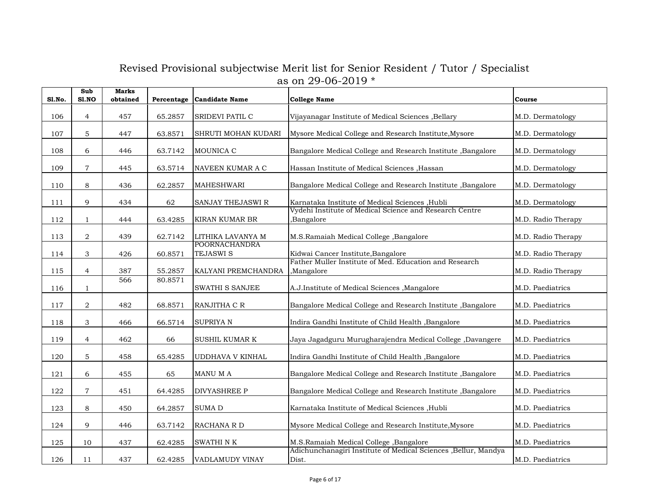| Sl.No. | Sub<br>S1.NO     | <b>Marks</b><br>obtained | Percentage | <b>Candidate Name</b>                    | <b>College Name</b>                                                      | Course             |
|--------|------------------|--------------------------|------------|------------------------------------------|--------------------------------------------------------------------------|--------------------|
| 106    | $\overline{4}$   | 457                      | 65.2857    | SRIDEVI PATIL C                          | Vijayanagar Institute of Medical Sciences , Bellary                      | M.D. Dermatology   |
| 107    | $\mathbf 5$      | 447                      | 63.8571    | SHRUTI MOHAN KUDARI                      | Mysore Medical College and Research Institute, Mysore                    | M.D. Dermatology   |
| 108    | 6                | 446                      | 63.7142    | MOUNICA C                                | Bangalore Medical College and Research Institute, Bangalore              | M.D. Dermatology   |
| 109    | $\overline{7}$   | 445                      | 63.5714    | NAVEEN KUMAR A C                         | Hassan Institute of Medical Sciences , Hassan                            | M.D. Dermatology   |
| 110    | $\,8\,$          | 436                      | 62.2857    | <b>MAHESHWARI</b>                        | Bangalore Medical College and Research Institute, Bangalore              | M.D. Dermatology   |
| 111    | 9                | 434                      | 62         | SANJAY THEJASWI R                        | Karnataka Institute of Medical Sciences , Hubli                          | M.D. Dermatology   |
| 112    | $\mathbf{1}$     | 444                      | 63.4285    | KIRAN KUMAR BR                           | Vydehi Institute of Medical Science and Research Centre<br>Bangalore,    | M.D. Radio Therapy |
| 113    | 2                | 439                      | 62.7142    | LITHIKA LAVANYA M                        | M.S.Ramaiah Medical College, Bangalore                                   | M.D. Radio Therapy |
| 114    | 3                | 426                      | 60.8571    | <b>POORNACHANDRA</b><br><b>TEJASWI S</b> | Kidwai Cancer Institute, Bangalore                                       | M.D. Radio Therapy |
| 115    | $\overline{4}$   | 387                      | 55.2857    | KALYANI PREMCHANDRA                      | Father Muller Institute of Med. Education and Research<br>Mangalore,     | M.D. Radio Therapy |
| 116    | $\mathbf{1}$     | 566                      | 80.8571    | SWATHI S SANJEE                          | A.J.Institute of Medical Sciences , Mangalore                            | M.D. Paediatrics   |
| 117    | $\boldsymbol{2}$ | 482                      | 68.8571    | RANJITHA C R                             | Bangalore Medical College and Research Institute , Bangalore             | M.D. Paediatrics   |
| 118    | $\mathfrak 3$    | 466                      | 66.5714    | SUPRIYA N                                | Indira Gandhi Institute of Child Health , Bangalore                      | M.D. Paediatrics   |
| 119    | $\overline{4}$   | 462                      | 66         | <b>SUSHIL KUMAR K</b>                    | Jaya Jagadguru Murugharajendra Medical College ,Davangere                | M.D. Paediatrics   |
| 120    | 5                | 458                      | 65.4285    | UDDHAVA V KINHAL                         | Indira Gandhi Institute of Child Health , Bangalore                      | M.D. Paediatrics   |
| 121    | 6                | 455                      | 65         | MANU M A                                 | Bangalore Medical College and Research Institute, Bangalore              | M.D. Paediatrics   |
| 122    | $\overline{7}$   | 451                      | 64.4285    | <b>DIVYASHREE P</b>                      | Bangalore Medical College and Research Institute, Bangalore              | M.D. Paediatrics   |
| 123    | 8                | 450                      | 64.2857    | SUMA D                                   | Karnataka Institute of Medical Sciences , Hubli                          | M.D. Paediatrics   |
| 124    | 9                | 446                      | 63.7142    | RACHANA R D                              | Mysore Medical College and Research Institute, Mysore                    | M.D. Paediatrics   |
| 125    | 10               | 437                      | 62.4285    | SWATHI N K                               | M.S.Ramaiah Medical College, Bangalore                                   | M.D. Paediatrics   |
| 126    | 11               | 437                      | 62.4285    | VADLAMUDY VINAY                          | Adichunchanagiri Institute of Medical Sciences , Bellur, Mandya<br>Dist. | M.D. Paediatrics   |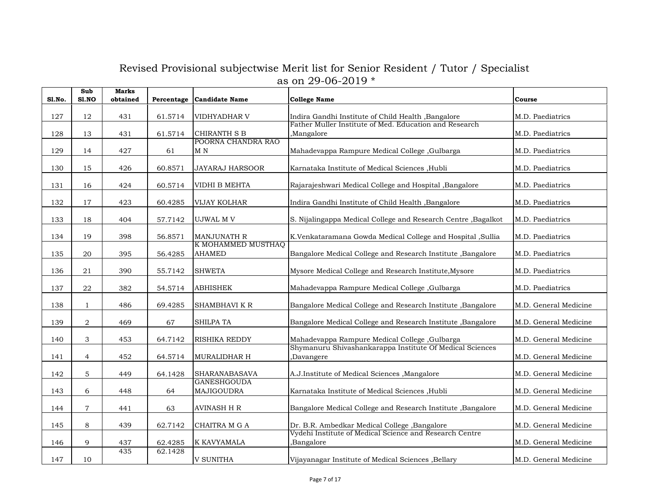| Sl.No. | Sub<br>S1.NO   | <b>Marks</b><br>obtained | Percentage | <b>Candidate Name</b>                     | <b>College Name</b>                                                    | Course                |
|--------|----------------|--------------------------|------------|-------------------------------------------|------------------------------------------------------------------------|-----------------------|
| 127    | 12             | 431                      | 61.5714    | VIDHYADHAR V                              | Indira Gandhi Institute of Child Health , Bangalore                    | M.D. Paediatrics      |
| 128    | 13             | 431                      | 61.5714    | <b>CHIRANTH S B</b><br>POORNA CHANDRA RAO | Father Muller Institute of Med. Education and Research<br>,Mangalore   | M.D. Paediatrics      |
| 129    | 14             | 427                      | 61         | M <sub>N</sub>                            | Mahadevappa Rampure Medical College, Gulbarga                          | M.D. Paediatrics      |
| 130    | 15             | 426                      | 60.8571    | <b>JAYARAJ HARSOOR</b>                    | Karnataka Institute of Medical Sciences , Hubli                        | M.D. Paediatrics      |
| 131    | 16             | 424                      | 60.5714    | VIDHI B MEHTA                             | Rajarajeshwari Medical College and Hospital , Bangalore                | M.D. Paediatrics      |
| 132    | 17             | 423                      | 60.4285    | VIJAY KOLHAR                              | Indira Gandhi Institute of Child Health , Bangalore                    | M.D. Paediatrics      |
| 133    | 18             | 404                      | 57.7142    | UJWAL M V                                 | S. Nijalingappa Medical College and Research Centre , Bagalkot         | M.D. Paediatrics      |
| 134    | 19             | 398                      | 56.8571    | <b>MANJUNATH R</b>                        | K.Venkataramana Gowda Medical College and Hospital , Sullia            | M.D. Paediatrics      |
| 135    | 20             | 395                      | 56.4285    | K MOHAMMED MUSTHAQ<br><b>AHAMED</b>       | Bangalore Medical College and Research Institute , Bangalore           | M.D. Paediatrics      |
| 136    | 21             | 390                      | 55.7142    | <b>SHWETA</b>                             | Mysore Medical College and Research Institute, Mysore                  | M.D. Paediatrics      |
| 137    | 22             | 382                      | 54.5714    | <b>ABHISHEK</b>                           | Mahadevappa Rampure Medical College , Gulbarga                         | M.D. Paediatrics      |
| 138    | $\mathbf{1}$   | 486                      | 69.4285    | SHAMBHAVI K R                             | Bangalore Medical College and Research Institute , Bangalore           | M.D. General Medicine |
| 139    | $\sqrt{2}$     | 469                      | 67         | SHILPA TA                                 | Bangalore Medical College and Research Institute , Bangalore           | M.D. General Medicine |
| 140    | 3              | 453                      | 64.7142    | <b>RISHIKA REDDY</b>                      | Mahadevappa Rampure Medical College , Gulbarga                         | M.D. General Medicine |
| 141    | $\overline{4}$ | 452                      | 64.5714    | <b>MURALIDHAR H</b>                       | Shymanuru Shivashankarappa Institute Of Medical Sciences<br>,Davangere | M.D. General Medicine |
| 142    | $\mathbf{5}$   | 449                      | 64.1428    | <b>SHARANABASAVA</b>                      | A.J.Institute of Medical Sciences , Mangalore                          | M.D. General Medicine |
| 143    | $\,$ 6 $\,$    | 448                      | 64         | <b>GANESHGOUDA</b><br>MAJIGOUDRA          | Karnataka Institute of Medical Sciences , Hubli                        | M.D. General Medicine |
| 144    | $\overline{7}$ | 441                      | 63         | AVINASH H R                               | Bangalore Medical College and Research Institute , Bangalore           | M.D. General Medicine |
| 145    | 8              | 439                      | 62.7142    | CHAITRA M G A                             | Dr. B.R. Ambedkar Medical College , Bangalore                          | M.D. General Medicine |
| 146    | 9              | 437                      | 62.4285    | K KAVYAMALA                               | Vydehi Institute of Medical Science and Research Centre<br>Bangalore,  | M.D. General Medicine |
| 147    | 10             | 435                      | 62.1428    | <b>V SUNITHA</b>                          | Vijayanagar Institute of Medical Sciences , Bellary                    | M.D. General Medicine |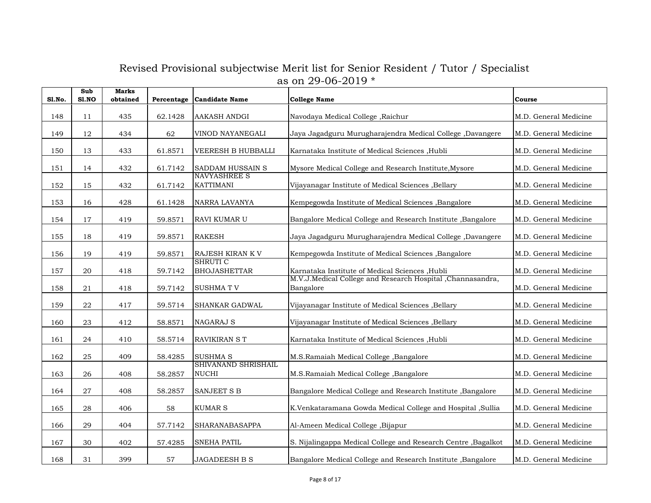| <b>S1.No.</b> | Sub<br>S1.NO | <b>Marks</b><br>obtained | Percentage | <b>Candidate Name</b>                   | <b>College Name</b>                                                      | Course                |
|---------------|--------------|--------------------------|------------|-----------------------------------------|--------------------------------------------------------------------------|-----------------------|
| 148           | 11           | 435                      | 62.1428    | <b>AAKASH ANDGI</b>                     | Navodaya Medical College , Raichur                                       | M.D. General Medicine |
| 149           | 12           | 434                      | 62         | VINOD NAYANEGALI                        | Jaya Jagadguru Murugharajendra Medical College, Davangere                | M.D. General Medicine |
| 150           | 13           | 433                      | 61.8571    | <b>VEERESH B HUBBALLI</b>               | Karnataka Institute of Medical Sciences , Hubli                          | M.D. General Medicine |
| 151           | 14           | 432                      | 61.7142    | SADDAM HUSSAIN S                        | Mysore Medical College and Research Institute, Mysore                    | M.D. General Medicine |
| 152           | 15           | 432                      | 61.7142    | <b>NAVYASHREE S</b><br><b>KATTIMANI</b> | Vijayanagar Institute of Medical Sciences , Bellary                      | M.D. General Medicine |
| 153           | 16           | 428                      | 61.1428    | NARRA LAVANYA                           | Kempegowda Institute of Medical Sciences , Bangalore                     | M.D. General Medicine |
| 154           | 17           | 419                      | 59.8571    | RAVI KUMAR U                            | Bangalore Medical College and Research Institute, Bangalore              | M.D. General Medicine |
| 155           | 18           | 419                      | 59.8571    | <b>RAKESH</b>                           | Jaya Jagadguru Murugharajendra Medical College ,Davangere                | M.D. General Medicine |
| 156           | 19           | 419                      | 59.8571    | RAJESH KIRAN K V                        | Kempegowda Institute of Medical Sciences , Bangalore                     | M.D. General Medicine |
| 157           | 20           | 418                      | 59.7142    | <b>SHRUTIC</b><br><b>BHOJASHETTAR</b>   | Karnataka Institute of Medical Sciences , Hubli                          | M.D. General Medicine |
| 158           | 21           | 418                      | 59.7142    | <b>SUSHMATV</b>                         | M.V.J.Medical College and Research Hospital , Channasandra,<br>Bangalore | M.D. General Medicine |
| 159           | 22           | 417                      | 59.5714    | SHANKAR GADWAL                          | Vijayanagar Institute of Medical Sciences , Bellary                      | M.D. General Medicine |
| 160           | 23           | 412                      | 58.8571    | <b>NAGARAJ S</b>                        | Vijayanagar Institute of Medical Sciences , Bellary                      | M.D. General Medicine |
| 161           | 24           | 410                      | 58.5714    | RAVIKIRAN S T                           | Karnataka Institute of Medical Sciences , Hubli                          | M.D. General Medicine |
| 162           | 25           | 409                      | 58.4285    | SUSHMA S                                | M.S.Ramaiah Medical College, Bangalore                                   | M.D. General Medicine |
| 163           | 26           | 408                      | 58.2857    | SHIVANAND SHRISHAIL<br><b>NUCHI</b>     | M.S.Ramaiah Medical College, Bangalore                                   | M.D. General Medicine |
| 164           | 27           | 408                      | 58.2857    | SANJEET S B                             | Bangalore Medical College and Research Institute, Bangalore              | M.D. General Medicine |
| 165           | 28           | 406                      | 58         | <b>KUMAR S</b>                          | K.Venkataramana Gowda Medical College and Hospital ,Sullia               | M.D. General Medicine |
| 166           | 29           | 404                      | 57.7142    | SHARANABASAPPA                          | Al-Ameen Medical College, Bijapur                                        | M.D. General Medicine |
| 167           | 30           | 402                      | 57.4285    | <b>SNEHA PATIL</b>                      | S. Nijalingappa Medical College and Research Centre, Bagalkot            | M.D. General Medicine |
| 168           | 31           | 399                      | 57         | <b>JAGADEESH B S</b>                    | Bangalore Medical College and Research Institute, Bangalore              | M.D. General Medicine |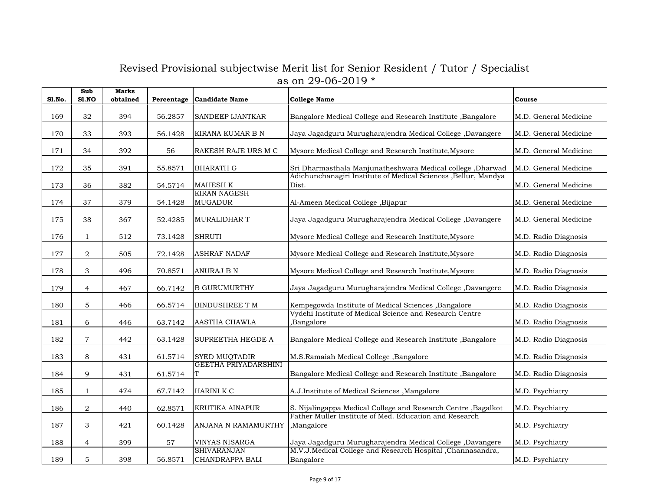| <b>S1.No.</b> | Sub<br>S1.NO     | <b>Marks</b><br>obtained | Percentage | <b>Candidate Name</b>                  | <b>College Name</b>                                                                                             | Course                |
|---------------|------------------|--------------------------|------------|----------------------------------------|-----------------------------------------------------------------------------------------------------------------|-----------------------|
| 169           | 32               | 394                      | 56.2857    | SANDEEP IJANTKAR                       | Bangalore Medical College and Research Institute , Bangalore                                                    | M.D. General Medicine |
| 170           | 33               | 393                      | 56.1428    | KIRANA KUMAR B N                       | Jaya Jagadguru Murugharajendra Medical College, Davangere                                                       | M.D. General Medicine |
| 171           | 34               | 392                      | 56         | RAKESH RAJE URS M C                    | Mysore Medical College and Research Institute, Mysore                                                           | M.D. General Medicine |
| 172           | 35               | 391                      | 55.8571    | <b>BHARATH G</b>                       | Sri Dharmasthala Manjunatheshwara Medical college, Dharwad                                                      | M.D. General Medicine |
| 173           | 36               | 382                      | 54.5714    | <b>MAHESH K</b><br><b>KIRAN NAGESH</b> | Adichunchanagiri Institute of Medical Sciences , Bellur, Mandya<br>Dist.                                        | M.D. General Medicine |
| 174           | 37               | 379                      | 54.1428    | <b>MUGADUR</b>                         | Al-Ameen Medical College , Bijapur                                                                              | M.D. General Medicine |
| 175           | 38               | 367                      | 52.4285    | <b>MURALIDHAR T</b>                    | Jaya Jagadguru Murugharajendra Medical College, Davangere                                                       | M.D. General Medicine |
| 176           | $\mathbf{1}$     | 512                      | 73.1428    | <b>SHRUTI</b>                          | Mysore Medical College and Research Institute, Mysore                                                           | M.D. Radio Diagnosis  |
| 177           | $\overline{2}$   | 505                      | 72.1428    | <b>ASHRAF NADAF</b>                    | Mysore Medical College and Research Institute, Mysore                                                           | M.D. Radio Diagnosis  |
| 178           | 3                | 496                      | 70.8571    | <b>ANURAJ B N</b>                      | Mysore Medical College and Research Institute, Mysore                                                           | M.D. Radio Diagnosis  |
| 179           | $\overline{4}$   | 467                      | 66.7142    | <b>B GURUMURTHY</b>                    | Jaya Jagadguru Murugharajendra Medical College, Davangere                                                       | M.D. Radio Diagnosis  |
| 180           | $\mathbf 5$      | 466                      | 66.5714    | <b>BINDUSHREE T M</b>                  | Kempegowda Institute of Medical Sciences , Bangalore<br>Vydehi Institute of Medical Science and Research Centre | M.D. Radio Diagnosis  |
| 181           | 6                | 446                      | 63.7142    | AASTHA CHAWLA                          | ,Bangalore                                                                                                      | M.D. Radio Diagnosis  |
| 182           | $\overline{7}$   | 442                      | 63.1428    | SUPREETHA HEGDE A                      | Bangalore Medical College and Research Institute, Bangalore                                                     | M.D. Radio Diagnosis  |
| 183           | 8                | 431                      | 61.5714    | <b>SYED MUQTADIR</b>                   | M.S.Ramaiah Medical College, Bangalore                                                                          | M.D. Radio Diagnosis  |
| 184           | 9                | 431                      | 61.5714    | <b>GEETHA PRIYADARSHINI</b><br>T       | Bangalore Medical College and Research Institute, Bangalore                                                     | M.D. Radio Diagnosis  |
| 185           | $\mathbf{1}$     | 474                      | 67.7142    | HARINI K C                             | A.J.Institute of Medical Sciences , Mangalore                                                                   | M.D. Psychiatry       |
| 186           | $\boldsymbol{2}$ | 440                      | 62.8571    | KRUTIKA AINAPUR                        | S. Nijalingappa Medical College and Research Centre , Bagalkot                                                  | M.D. Psychiatry       |
| 187           | 3                | 421                      | 60.1428    | ANJANA N RAMAMURTHY                    | Father Muller Institute of Med. Education and Research<br>,Mangalore                                            | M.D. Psychiatry       |
| 188           | $\overline{4}$   | 399                      | 57         | VINYAS NISARGA                         | Jaya Jagadguru Murugharajendra Medical College, Davangere                                                       | M.D. Psychiatry       |
| 189           | $\mathbf 5$      | 398                      | 56.8571    | <b>SHIVARANJAN</b><br>CHANDRAPPA BALI  | M.V.J.Medical College and Research Hospital , Channasandra,<br>Bangalore                                        | M.D. Psychiatry       |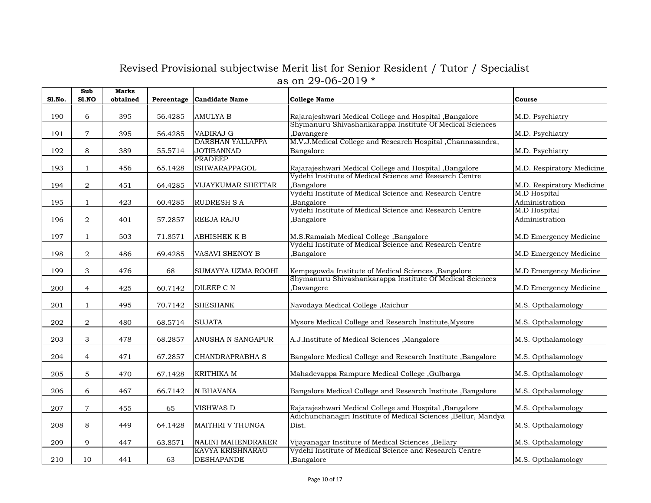| Sl.No. | Sub<br>S1.NO   | <b>Marks</b><br>obtained | Percentage | <b>Candidate Name</b>   | <b>College Name</b>                                            | Course                    |
|--------|----------------|--------------------------|------------|-------------------------|----------------------------------------------------------------|---------------------------|
| 190    | 6              | 395                      | 56.4285    | AMULYA B                | Rajarajeshwari Medical College and Hospital , Bangalore        | M.D. Psychiatry           |
|        |                |                          |            |                         | Shymanuru Shivashankarappa Institute Of Medical Sciences       |                           |
| 191    | $\overline{7}$ | 395                      | 56.4285    | VADIRAJ G               | Davangere                                                      | M.D. Psychiatry           |
|        |                |                          |            | <b>DARSHAN YALLAPPA</b> | M.V.J.Medical College and Research Hospital , Channasandra,    |                           |
| 192    | 8              | 389                      | 55.5714    | <b>JOTIBANNAD</b>       | Bangalore                                                      | M.D. Psychiatry           |
|        |                |                          |            | <b>PRADEEP</b>          |                                                                |                           |
| 193    | $\mathbf{1}$   | 456                      | 65.1428    | ISHWARAPPAGOL           | Rajarajeshwari Medical College and Hospital , Bangalore        | M.D. Respiratory Medicine |
|        |                |                          |            |                         | Vydehi Institute of Medical Science and Research Centre        |                           |
| 194    | $\overline{a}$ | 451                      | 64.4285    | VIJAYKUMAR SHETTAR      | ,Bangalore                                                     | M.D. Respiratory Medicine |
|        |                |                          |            |                         | Vydehi Institute of Medical Science and Research Centre        | M.D Hospital              |
| 195    | $\mathbf{1}$   | 423                      | 60.4285    | <b>RUDRESH S A</b>      | Bangalore,                                                     | Administration            |
|        |                |                          |            |                         | Vydehi Institute of Medical Science and Research Centre        | <b>M.D Hospital</b>       |
| 196    | $\overline{a}$ | 401                      | 57.2857    | REEJA RAJU              | Bangalore,                                                     | Administration            |
|        |                |                          |            |                         |                                                                |                           |
| 197    | $\mathbf{1}$   | 503                      | 71.8571    | <b>ABHISHEK K B</b>     | M.S.Ramaiah Medical College, Bangalore                         | M.D Emergency Medicine    |
|        |                |                          |            |                         | Vydehi Institute of Medical Science and Research Centre        |                           |
| 198    | 2              | 486                      | 69.4285    | VASAVI SHENOY B         | Bangalore,                                                     | M.D Emergency Medicine    |
|        |                |                          |            |                         |                                                                |                           |
| 199    | 3              | 476                      | 68         | SUMAYYA UZMA ROOHI      | Kempegowda Institute of Medical Sciences , Bangalore           | M.D Emergency Medicine    |
|        |                |                          |            |                         | Shymanuru Shivashankarappa Institute Of Medical Sciences       |                           |
| 200    | $\overline{4}$ | 425                      | 60.7142    | DILEEP C N              | Davangere,                                                     | M.D Emergency Medicine    |
|        |                |                          |            |                         |                                                                |                           |
| 201    | $\mathbf{1}$   | 495                      | 70.7142    | <b>SHESHANK</b>         | Navodaya Medical College, Raichur                              | M.S. Opthalamology        |
|        |                |                          |            |                         |                                                                |                           |
| 202    | $\overline{a}$ | 480                      | 68.5714    | <b>SUJATA</b>           | Mysore Medical College and Research Institute, Mysore          | M.S. Opthalamology        |
|        |                |                          |            |                         |                                                                |                           |
| 203    | 3              | 478                      | 68.2857    | ANUSHA N SANGAPUR       | A.J.Institute of Medical Sciences , Mangalore                  | M.S. Opthalamology        |
|        |                |                          |            |                         |                                                                |                           |
| 204    | $\overline{4}$ | 471                      | 67.2857    | <b>CHANDRAPRABHA S</b>  | Bangalore Medical College and Research Institute, Bangalore    | M.S. Opthalamology        |
|        |                |                          |            |                         |                                                                |                           |
| 205    | 5              | 470                      | 67.1428    | KRITHIKA M              | Mahadevappa Rampure Medical College, Gulbarga                  | M.S. Opthalamology        |
|        |                |                          |            |                         |                                                                |                           |
| 206    | 6              | 467                      | 66.7142    | N BHAVANA               | Bangalore Medical College and Research Institute, Bangalore    | M.S. Opthalamology        |
|        |                |                          |            |                         |                                                                |                           |
| 207    | $\overline{7}$ | 455                      | 65         | VISHWAS D               | Rajarajeshwari Medical College and Hospital , Bangalore        | M.S. Opthalamology        |
|        |                |                          |            |                         | Adichunchanagiri Institute of Medical Sciences ,Bellur, Mandya |                           |
| 208    | 8              | 449                      | 64.1428    | MAITHRI V THUNGA        | Dist.                                                          | M.S. Opthalamology        |
|        |                |                          |            |                         |                                                                |                           |
| 209    | 9              | 447                      | 63.8571    | NALINI MAHENDRAKER      | Vijayanagar Institute of Medical Sciences , Bellary            | M.S. Opthalamology        |
|        |                |                          |            | <b>KAVYA KRISHNARAO</b> | Vydehi Institute of Medical Science and Research Centre        |                           |
| 210    | 10             | 441                      | 63         | <b>DESHAPANDE</b>       | ,Bangalore                                                     | M.S. Opthalamology        |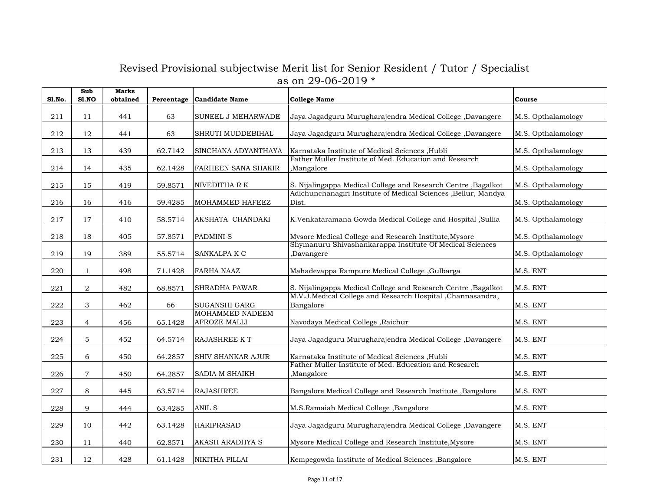| <b>S1.No.</b> | Sub<br>S1.NO     | <b>Marks</b><br>obtained | Percentage | <b>Candidate Name</b>                  | <b>College Name</b>                                                     | Course             |
|---------------|------------------|--------------------------|------------|----------------------------------------|-------------------------------------------------------------------------|--------------------|
| 211           | 11               | 441                      | 63         | SUNEEL J MEHARWADE                     | Jaya Jagadguru Murugharajendra Medical College, Davangere               | M.S. Opthalamology |
| 212           | 12               | 441                      | 63         | SHRUTI MUDDEBIHAL                      | Jaya Jagadguru Murugharajendra Medical College ,Davangere               | M.S. Opthalamology |
| 213           | 13               | 439                      | 62.7142    | SINCHANA ADYANTHAYA                    | Karnataka Institute of Medical Sciences , Hubli                         | M.S. Opthalamology |
| 214           | 14               | 435                      | 62.1428    | FARHEEN SANA SHAKIR                    | Father Muller Institute of Med. Education and Research<br>Mangalore     | M.S. Opthalamology |
| 215           | 15               | 419                      | 59.8571    | NIVEDITHA R K                          | S. Nijalingappa Medical College and Research Centre , Bagalkot          | M.S. Opthalamology |
| 216           | 16               | 416                      | 59.4285    | MOHAMMED HAFEEZ                        | Adichunchanagiri Institute of Medical Sciences ,Bellur, Mandya<br>Dist. | M.S. Opthalamology |
| $217\,$       | 17               | 410                      | 58.5714    | AKSHATA CHANDAKI                       | K.Venkataramana Gowda Medical College and Hospital , Sullia             | M.S. Opthalamology |
| 218           | 18               | 405                      | 57.8571    | PADMINI <sub>S</sub>                   | Mysore Medical College and Research Institute, Mysore                   | M.S. Opthalamology |
| 219           | 19               | 389                      | 55.5714    | SANKALPA K C                           | Shymanuru Shivashankarappa Institute Of Medical Sciences<br>Davangere,  | M.S. Opthalamology |
| 220           | $\mathbf{1}$     | 498                      | 71.1428    | <b>FARHA NAAZ</b>                      | Mahadevappa Rampure Medical College , Gulbarga                          | M.S. ENT           |
| 221           | $\boldsymbol{2}$ | 482                      | 68.8571    | SHRADHA PAWAR                          | S. Nijalingappa Medical College and Research Centre , Bagalkot          | M.S. ENT           |
| 222           | 3                | 462                      | 66         | SUGANSHI GARG                          | M.V.J.Medical College and Research Hospital ,Channasandra,<br>Bangalore | M.S. ENT           |
| 223           | $\overline{4}$   | 456                      | 65.1428    | <b>MOHAMMED NADEEM</b><br>AFROZE MALLI | Navodaya Medical College, Raichur                                       | M.S. ENT           |
| 224           | 5                | 452                      | 64.5714    | RAJASHREE KT                           | Jaya Jagadguru Murugharajendra Medical College, Davangere               | M.S. ENT           |
| 225           | 6                | 450                      | 64.2857    | SHIV SHANKAR AJUR                      | Karnataka Institute of Medical Sciences ,Hubli                          | M.S. ENT           |
| 226           | $\overline{7}$   | 450                      | 64.2857    | SADIA M SHAIKH                         | Father Muller Institute of Med. Education and Research<br>Mangalore,    | M.S. ENT           |
| 227           | 8                | 445                      | 63.5714    | <b>RAJASHREE</b>                       | Bangalore Medical College and Research Institute, Bangalore             | M.S. ENT           |
| 228           | 9                | 444                      | 63.4285    | ANIL S                                 | M.S.Ramaiah Medical College, Bangalore                                  | M.S. ENT           |
| 229           | 10               | 442                      | 63.1428    | <b>HARIPRASAD</b>                      | Jaya Jagadguru Murugharajendra Medical College, Davangere               | M.S. ENT           |
| 230           | 11               | 440                      | 62.8571    | <b>AKASH ARADHYA S</b>                 | Mysore Medical College and Research Institute, Mysore                   | M.S. ENT           |
| 231           | 12               | 428                      | 61.1428    | NIKITHA PILLAI                         | Kempegowda Institute of Medical Sciences , Bangalore                    | M.S. ENT           |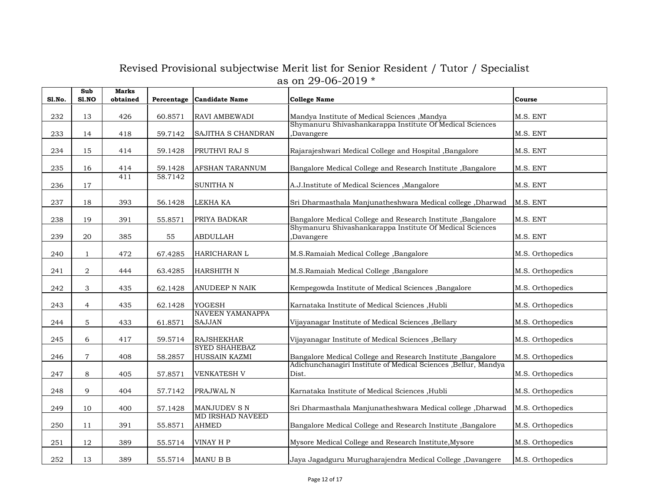| <b>S1.No.</b> | Sub<br>S1.NO   | <b>Marks</b><br>obtained | Percentage | <b>Candidate Name</b>                    | <b>College Name</b>                                                      | Course           |
|---------------|----------------|--------------------------|------------|------------------------------------------|--------------------------------------------------------------------------|------------------|
| 232           | 13             | 426                      | 60.8571    | RAVI AMBEWADI                            | Mandya Institute of Medical Sciences , Mandya                            | M.S. ENT         |
| 233           | 14             | 418                      | 59.7142    | SAJITHA S CHANDRAN                       | Shymanuru Shivashankarappa Institute Of Medical Sciences<br>Davangere,   | M.S. ENT         |
| 234           | 15             | 414                      | 59.1428    | PRUTHVI RAJ S                            | Rajarajeshwari Medical College and Hospital , Bangalore                  | M.S. ENT         |
| 235           | 16             | 414                      | 59.1428    | AFSHAN TARANNUM                          | Bangalore Medical College and Research Institute , Bangalore             | M.S. ENT         |
| 236           | 17             | 411                      | 58.7142    | SUNITHA N                                | A.J.Institute of Medical Sciences , Mangalore                            | M.S. ENT         |
| 237           | 18             | 393                      | 56.1428    | LEKHA KA                                 | Sri Dharmasthala Manjunatheshwara Medical college, Dharwad               | M.S. ENT         |
| 238           | 19             | 391                      | 55.8571    | PRIYA BADKAR                             | Bangalore Medical College and Research Institute , Bangalore             | M.S. ENT         |
| 239           | 20             | 385                      | 55         | <b>ABDULLAH</b>                          | Shymanuru Shivashankarappa Institute Of Medical Sciences<br>,Davangere   | M.S. ENT         |
| 240           | $\mathbf{1}$   | 472                      | 67.4285    | HARICHARAN L                             | M.S.Ramaiah Medical College, Bangalore                                   | M.S. Orthopedics |
| 241           | $\overline{a}$ | 444                      | 63.4285    | HARSHITH N                               | M.S.Ramaiah Medical College, Bangalore                                   | M.S. Orthopedics |
| 242           | 3              | 435                      | 62.1428    | ANUDEEP N NAIK                           | Kempegowda Institute of Medical Sciences , Bangalore                     | M.S. Orthopedics |
| 243           | $\overline{4}$ | 435                      | 62.1428    | <b>YOGESH</b>                            | Karnataka Institute of Medical Sciences , Hubli                          | M.S. Orthopedics |
| 244           | 5              | 433                      | 61.8571    | <b>NAVEEN YAMANAPPA</b><br><b>SAJJAN</b> | Vijayanagar Institute of Medical Sciences , Bellary                      | M.S. Orthopedics |
| 245           | 6              | 417                      | 59.5714    | <b>RAJSHEKHAR</b>                        | Vijayanagar Institute of Medical Sciences , Bellary                      | M.S. Orthopedics |
| 246           | $\overline{7}$ | 408                      | 58.2857    | <b>SYED SHAHEBAZ</b><br>HUSSAIN KAZMI    | Bangalore Medical College and Research Institute , Bangalore             | M.S. Orthopedics |
| 247           | $\,8\,$        | 405                      | 57.8571    | <b>VENKATESH V</b>                       | Adichunchanagiri Institute of Medical Sciences , Bellur, Mandya<br>Dist. | M.S. Orthopedics |
| 248           | 9              | 404                      | 57.7142    | PRAJWAL N                                | Karnataka Institute of Medical Sciences , Hubli                          | M.S. Orthopedics |
| 249           | 10             | 400                      | 57.1428    | MANJUDEV S N                             | Sri Dharmasthala Manjunatheshwara Medical college, Dharwad               | M.S. Orthopedics |
| 250           | 11             | 391                      | 55.8571    | <b>MD IRSHAD NAVEED</b><br><b>AHMED</b>  | Bangalore Medical College and Research Institute , Bangalore             | M.S. Orthopedics |
| 251           | 12             | 389                      | 55.5714    | VINAY H P                                | Mysore Medical College and Research Institute, Mysore                    | M.S. Orthopedics |
| 252           | 13             | 389                      | 55.5714    | MANU B B                                 | Jaya Jagadguru Murugharajendra Medical College, Davangere                | M.S. Orthopedics |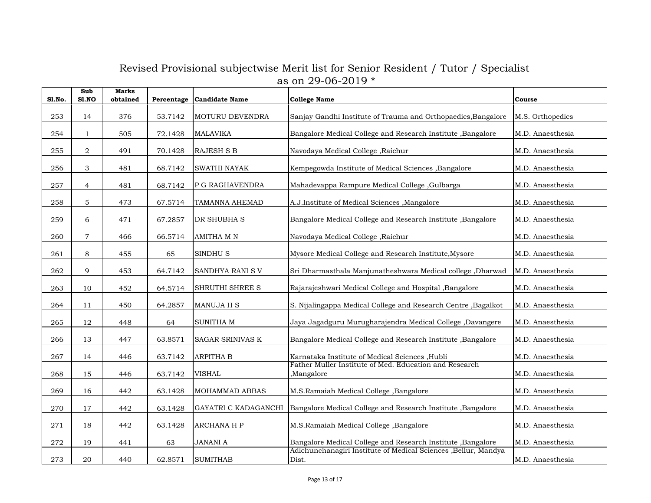| <b>S1.No.</b> | Sub<br>S1.NO     | <b>Marks</b><br>obtained | Percentage | <b>Candidate Name</b> | <b>College Name</b>                                                     | Course           |
|---------------|------------------|--------------------------|------------|-----------------------|-------------------------------------------------------------------------|------------------|
| 253           | 14               | 376                      | 53.7142    | MOTURU DEVENDRA       | Sanjay Gandhi Institute of Trauma and Orthopaedics, Bangalore           | M.S. Orthopedics |
| 254           | $\mathbf{1}$     | 505                      | 72.1428    | <b>MALAVIKA</b>       | Bangalore Medical College and Research Institute, Bangalore             | M.D. Anaesthesia |
| 255           | $\boldsymbol{2}$ | 491                      | 70.1428    | RAJESH S B            | Navodaya Medical College, Raichur                                       | M.D. Anaesthesia |
| 256           | 3                | 481                      | 68.7142    | SWATHI NAYAK          | Kempegowda Institute of Medical Sciences , Bangalore                    | M.D. Anaesthesia |
| 257           | $\overline{4}$   | 481                      | 68.7142    | P G RAGHAVENDRA       | Mahadevappa Rampure Medical College, Gulbarga                           | M.D. Anaesthesia |
| 258           | $\mathbf 5$      | 473                      | 67.5714    | TAMANNA AHEMAD        | A.J.Institute of Medical Sciences , Mangalore                           | M.D. Anaesthesia |
| 259           | 6                | 471                      | 67.2857    | DR SHUBHA S           | Bangalore Medical College and Research Institute, Bangalore             | M.D. Anaesthesia |
| 260           | $\overline{7}$   | 466                      | 66.5714    | <b>AMITHA M N</b>     | Navodaya Medical College, Raichur                                       | M.D. Anaesthesia |
| 261           | 8                | 455                      | 65         | SINDHU <sub>S</sub>   | Mysore Medical College and Research Institute, Mysore                   | M.D. Anaesthesia |
| 262           | 9                | 453                      | 64.7142    | SANDHYA RANI S V      | Sri Dharmasthala Manjunatheshwara Medical college, Dharwad              | M.D. Anaesthesia |
| 263           | 10               | 452                      | 64.5714    | SHRUTHI SHREE S       | Rajarajeshwari Medical College and Hospital , Bangalore                 | M.D. Anaesthesia |
| 264           | 11               | 450                      | 64.2857    | MANUJA H S            | S. Nijalingappa Medical College and Research Centre, Bagalkot           | M.D. Anaesthesia |
| 265           | 12               | 448                      | 64         | <b>SUNITHA M</b>      | Jaya Jagadguru Murugharajendra Medical College, Davangere               | M.D. Anaesthesia |
| 266           | 13               | 447                      | 63.8571    | SAGAR SRINIVAS K      | Bangalore Medical College and Research Institute, Bangalore             | M.D. Anaesthesia |
| 267           | 14               | 446                      | 63.7142    | <b>ARPITHA B</b>      | Karnataka Institute of Medical Sciences , Hubli                         | M.D. Anaesthesia |
| 268           | 15               | 446                      | 63.7142    | <b>VISHAL</b>         | Father Muller Institute of Med. Education and Research<br>Mangalore     | M.D. Anaesthesia |
| 269           | 16               | 442                      | 63.1428    | MOHAMMAD ABBAS        | M.S.Ramaiah Medical College, Bangalore                                  | M.D. Anaesthesia |
| 270           | 17               | 442                      | 63.1428    | GAYATRI C KADAGANCHI  | Bangalore Medical College and Research Institute, Bangalore             | M.D. Anaesthesia |
| 271           | 18               | 442                      | 63.1428    | ARCHANA H P           | M.S.Ramaiah Medical College, Bangalore                                  | M.D. Anaesthesia |
| 272           | 19               | 441                      | 63         | <b>JANANI A</b>       | Bangalore Medical College and Research Institute , Bangalore            | M.D. Anaesthesia |
| 273           | 20               | 440                      | 62.8571    | <b>SUMITHAB</b>       | Adichunchanagiri Institute of Medical Sciences ,Bellur, Mandya<br>Dist. | M.D. Anaesthesia |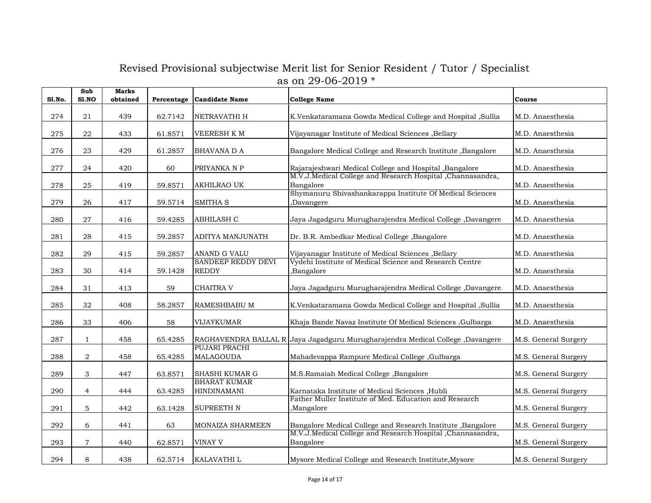| <b>S1.No.</b> | Sub<br>S1.NO   | <b>Marks</b><br>obtained | Percentage | Candidate Name                            | <b>College Name</b>                                                            | Course               |
|---------------|----------------|--------------------------|------------|-------------------------------------------|--------------------------------------------------------------------------------|----------------------|
| 274           | 21             | 439                      | 62.7142    | NETRAVATHI H                              | K.Venkataramana Gowda Medical College and Hospital ,Sullia                     | M.D. Anaesthesia     |
| 275           | 22             | 433                      | 61.8571    | <b>VEERESH KM</b>                         | Vijayanagar Institute of Medical Sciences , Bellary                            | M.D. Anaesthesia     |
| 276           | 23             | 429                      | 61.2857    | <b>BHAVANA D A</b>                        | Bangalore Medical College and Research Institute , Bangalore                   | M.D. Anaesthesia     |
| 277           | 24             | 420                      | 60         | PRIYANKA N P                              | Rajarajeshwari Medical College and Hospital ,Bangalore                         | M.D. Anaesthesia     |
| 278           | 25             | 419                      | 59.8571    | AKHILRAO UK                               | M.V.J.Medical College and Research Hospital ,Channasandra,<br>Bangalore        | M.D. Anaesthesia     |
| 279           | 26             | 417                      | 59.5714    | <b>SMITHA S</b>                           | Shymanuru Shivashankarappa Institute Of Medical Sciences<br>,Davangere         | M.D. Anaesthesia     |
| 280           | 27             | 416                      | 59.4285    | <b>ABHILASH C</b>                         | Jaya Jagadguru Murugharajendra Medical College, Davangere                      | M.D. Anaesthesia     |
| 281           | 28             | 415                      | 59.2857    | <b>ADITYA MANJUNATH</b>                   | Dr. B.R. Ambedkar Medical College, Bangalore                                   | M.D. Anaesthesia     |
| 282           | 29             | 415                      | 59.2857    | ANAND G VALU                              | Vijayanagar Institute of Medical Sciences , Bellary                            | M.D. Anaesthesia     |
| 283           | 30             | 414                      | 59.1428    | <b>SANDEEP REDDY DEVI</b><br><b>REDDY</b> | Vydehi Institute of Medical Science and Research Centre<br>Bangalore,          | M.D. Anaesthesia     |
| 284           | 31             | 413                      | 59         | <b>CHAITRA V</b>                          | Jaya Jagadguru Murugharajendra Medical College, Davangere                      | M.D. Anaesthesia     |
| 285           | 32             | 408                      | 58.2857    | RAMESHBABU M                              | K.Venkataramana Gowda Medical College and Hospital , Sullia                    | M.D. Anaesthesia     |
| 286           | 33             | 406                      | 58         | VIJAYKUMAR                                | Khaja Bande Navaz Institute Of Medical Sciences , Gulbarga                     | M.D. Anaesthesia     |
| 287           | $\mathbf{1}$   | 458                      | 65.4285    |                                           | RAGHAVENDRA BALLAL R Jaya Jagadguru Murugharajendra Medical College ,Davangere | M.S. General Surgery |
| 288           | $\,2$          | 458                      | 65.4285    | PUJARI PRACHI<br><b>MALAGOUDA</b>         | Mahadevappa Rampure Medical College, Gulbarga                                  | M.S. General Surgery |
| 289           | $\,$ 3 $\,$    | 447                      | 63.8571    | SHASHI KUMAR G                            | M.S.Ramaiah Medical College ,Bangalore                                         | M.S. General Surgery |
| 290           | $\overline{4}$ | 444                      | 63.4285    | <b>BHARAT KUMAR</b><br><b>HINDINAMANI</b> | Karnataka Institute of Medical Sciences , Hubli                                | M.S. General Surgery |
| 291           | 5              | 442                      | 63.1428    | <b>SUPREETH N</b>                         | Father Muller Institute of Med. Education and Research<br>,Mangalore           | M.S. General Surgery |
| 292           | 6              | 441                      | 63         | MONAIZA SHARMEEN                          | Bangalore Medical College and Research Institute, Bangalore                    | M.S. General Surgery |
| 293           | $\overline{7}$ | 440                      | 62.8571    | VINAY V                                   | M.V.J.Medical College and Research Hospital , Channasandra,<br>Bangalore       | M.S. General Surgery |
| 294           | 8              | 438                      | 62.5714    | KALAVATHI L                               | Mysore Medical College and Research Institute, Mysore                          | M.S. General Surgery |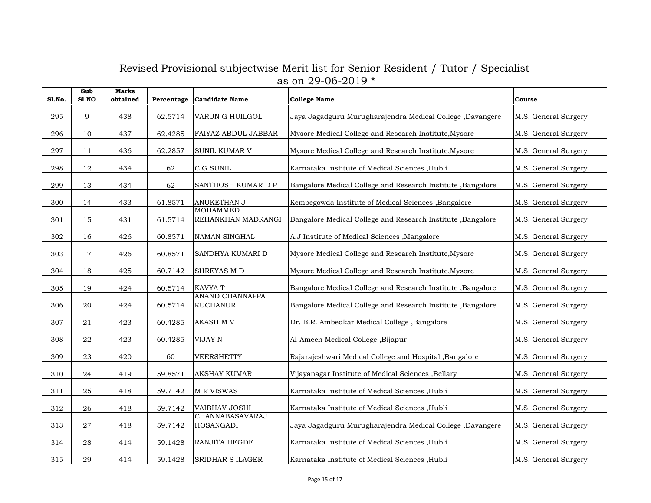| <b>S1.No.</b> | Sub<br><b>S1.NO</b> | <b>Marks</b><br>obtained |         | Percentage Candidate Name                 | <b>College Name</b>                                          | Course               |
|---------------|---------------------|--------------------------|---------|-------------------------------------------|--------------------------------------------------------------|----------------------|
| 295           | 9                   | 438                      | 62.5714 | VARUN G HUILGOL                           | Jaya Jagadguru Murugharajendra Medical College, Davangere    | M.S. General Surgery |
| 296           | 10                  | 437                      | 62.4285 | FAIYAZ ABDUL JABBAR                       | Mysore Medical College and Research Institute, Mysore        | M.S. General Surgery |
| 297           | 11                  | 436                      | 62.2857 | SUNIL KUMAR V                             | Mysore Medical College and Research Institute, Mysore        | M.S. General Surgery |
| 298           | 12                  | 434                      | 62      | C G SUNIL                                 | Karnataka Institute of Medical Sciences , Hubli              | M.S. General Surgery |
| 299           | 13                  | 434                      | 62      | SANTHOSH KUMAR D P                        | Bangalore Medical College and Research Institute, Bangalore  | M.S. General Surgery |
| 300           | 14                  | 433                      | 61.8571 | ANUKETHAN J                               | Kempegowda Institute of Medical Sciences , Bangalore         | M.S. General Surgery |
| 301           | 15                  | 431                      | 61.5714 | <b>MOHAMMED</b><br>REHANKHAN MADRANGI     | Bangalore Medical College and Research Institute , Bangalore | M.S. General Surgery |
| 302           | 16                  | 426                      | 60.8571 | NAMAN SINGHAL                             | A.J.Institute of Medical Sciences , Mangalore                | M.S. General Surgery |
| 303           | 17                  | 426                      | 60.8571 | SANDHYA KUMARI D                          | Mysore Medical College and Research Institute, Mysore        | M.S. General Surgery |
| 304           | 18                  | 425                      | 60.7142 | SHREYAS M D                               | Mysore Medical College and Research Institute, Mysore        | M.S. General Surgery |
| 305           | 19                  | 424                      | 60.5714 | KAVYA T                                   | Bangalore Medical College and Research Institute, Bangalore  | M.S. General Surgery |
| 306           | 20                  | 424                      | 60.5714 | <b>ANAND CHANNAPPA</b><br><b>KUCHANUR</b> | Bangalore Medical College and Research Institute , Bangalore | M.S. General Surgery |
| 307           | 21                  | 423                      | 60.4285 | <b>AKASH M V</b>                          | Dr. B.R. Ambedkar Medical College, Bangalore                 | M.S. General Surgery |
| 308           | ${\bf 22}$          | 423                      | 60.4285 | VIJAY N                                   | Al-Ameen Medical College, Bijapur                            | M.S. General Surgery |
| 309           | 23                  | 420                      | 60      | <b>VEERSHETTY</b>                         | Rajarajeshwari Medical College and Hospital , Bangalore      | M.S. General Surgery |
| 310           | 24                  | 419                      | 59.8571 | <b>AKSHAY KUMAR</b>                       | Vijayanagar Institute of Medical Sciences , Bellary          | M.S. General Surgery |
| 311           | 25                  | 418                      | 59.7142 | <b>M R VISWAS</b>                         | Karnataka Institute of Medical Sciences , Hubli              | M.S. General Surgery |
| 312           | 26                  | 418                      | 59.7142 | <b>VAIBHAV JOSHI</b>                      | Karnataka Institute of Medical Sciences , Hubli              | M.S. General Surgery |
| 313           | 27                  | 418                      | 59.7142 | CHANNABASAVARAJ<br><b>HOSANGADI</b>       | Jaya Jagadguru Murugharajendra Medical College ,Davangere    | M.S. General Surgery |
| 314           | 28                  | 414                      | 59.1428 | RANJITA HEGDE                             | Karnataka Institute of Medical Sciences , Hubli              | M.S. General Surgery |
| 315           | 29                  | 414                      | 59.1428 | <b>SRIDHAR S ILAGER</b>                   | Karnataka Institute of Medical Sciences , Hubli              | M.S. General Surgery |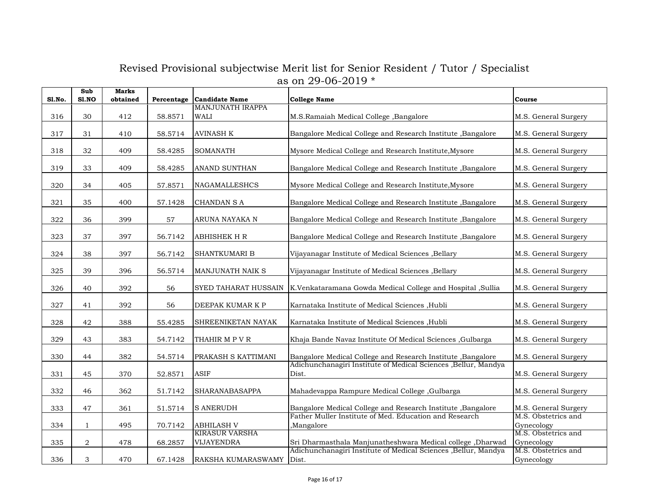| Sl.No. | Sub<br>S1.NO | <b>Marks</b><br>obtained |         | Percentage Candidate Name           | <b>College Name</b>                                                      | Course                            |
|--------|--------------|--------------------------|---------|-------------------------------------|--------------------------------------------------------------------------|-----------------------------------|
| 316    | 30           | 412                      | 58.8571 | <b>MANJUNATH IRAPPA</b><br>WALI     | M.S.Ramaiah Medical College, Bangalore                                   | M.S. General Surgery              |
| 317    | 31           | 410                      | 58.5714 | <b>AVINASH K</b>                    | Bangalore Medical College and Research Institute, Bangalore              | M.S. General Surgery              |
| 318    | 32           | 409                      | 58.4285 | <b>SOMANATH</b>                     | Mysore Medical College and Research Institute, Mysore                    | M.S. General Surgery              |
| 319    | 33           | 409                      | 58.4285 | ANAND SUNTHAN                       | Bangalore Medical College and Research Institute , Bangalore             | M.S. General Surgery              |
| 320    | 34           | 405                      | 57.8571 | <b>NAGAMALLESHCS</b>                | Mysore Medical College and Research Institute, Mysore                    | M.S. General Surgery              |
| 321    | 35           | 400                      | 57.1428 | <b>CHANDAN S A</b>                  | Bangalore Medical College and Research Institute , Bangalore             | M.S. General Surgery              |
| 322    | 36           | 399                      | 57      | ARUNA NAYAKA N                      | Bangalore Medical College and Research Institute, Bangalore              | M.S. General Surgery              |
| 323    | 37           | 397                      | 56.7142 | <b>ABHISHEK H R</b>                 | Bangalore Medical College and Research Institute, Bangalore              | M.S. General Surgery              |
| 324    | 38           | 397                      | 56.7142 | SHANTKUMARI B                       | Vijayanagar Institute of Medical Sciences , Bellary                      | M.S. General Surgery              |
| 325    | 39           | 396                      | 56.5714 | <b>MANJUNATH NAIK S</b>             | Vijayanagar Institute of Medical Sciences , Bellary                      | M.S. General Surgery              |
| 326    | 40           | 392                      | 56      | SYED TAHARAT HUSSAIN                | K.Venkataramana Gowda Medical College and Hospital , Sullia              | M.S. General Surgery              |
| 327    | 41           | 392                      | 56      | DEEPAK KUMAR K P                    | Karnataka Institute of Medical Sciences , Hubli                          | M.S. General Surgery              |
| 328    | 42           | 388                      | 55.4285 | SHREENIKETAN NAYAK                  | Karnataka Institute of Medical Sciences , Hubli                          | M.S. General Surgery              |
| 329    | 43           | 383                      | 54.7142 | THAHIR M P V R                      | Khaja Bande Navaz Institute Of Medical Sciences , Gulbarga               | M.S. General Surgery              |
| 330    | 44           | 382                      | 54.5714 | PRAKASH S KATTIMANI                 | Bangalore Medical College and Research Institute , Bangalore             | M.S. General Surgery              |
| 331    | 45           | 370                      | 52.8571 | <b>ASIF</b>                         | Adichunchanagiri Institute of Medical Sciences ,Bellur, Mandya<br>Dist.  | M.S. General Surgery              |
| 332    | 46           | 362                      | 51.7142 | SHARANABASAPPA                      | Mahadevappa Rampure Medical College, Gulbarga                            | M.S. General Surgery              |
| 333    | 47           | 361                      | 51.5714 | <b>S ANERUDH</b>                    | Bangalore Medical College and Research Institute , Bangalore             | M.S. General Surgery              |
| 334    | $\mathbf{1}$ | 495                      | 70.7142 | <b>ABHILASH V</b>                   | Father Muller Institute of Med. Education and Research<br>Mangalore      | M.S. Obstetrics and<br>Gynecology |
| 335    | $\,2$        | 478                      | 68.2857 | <b>KIRASUR VARSHA</b><br>VIJAYENDRA | Sri Dharmasthala Manjunatheshwara Medical college, Dharwad               | M.S. Obstetrics and<br>Gynecology |
| 336    | 3            | 470                      | 67.1428 | RAKSHA KUMARASWAMY                  | Adichunchanagiri Institute of Medical Sciences , Bellur, Mandya<br>Dist. | M.S. Obstetrics and<br>Gynecology |